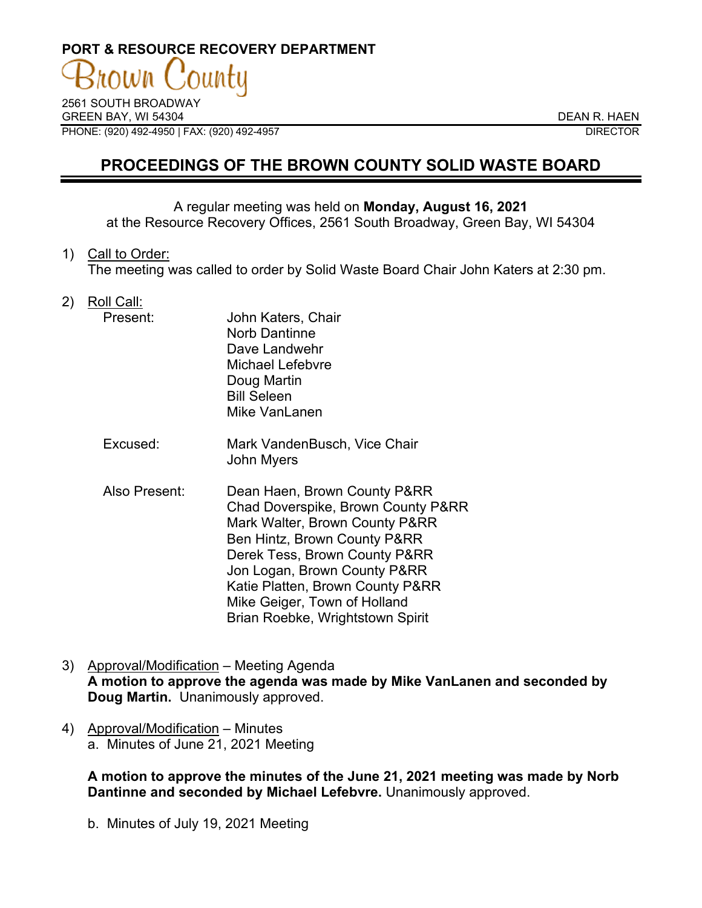# **PORT & RESOURCE RECOVERY DEPARTMENT**

2561 SOUTH BROADWAY GREEN BAY, WI 54304 DEAN R. HAEN PHONE: (920) 492-4950 | FAX: (920) 492-4957 DIRECTOR

# **PROCEEDINGS OF THE BROWN COUNTY SOLID WASTE BOARD**

## A regular meeting was held on **Monday, August 16, 2021**

at the Resource Recovery Offices, 2561 South Broadway, Green Bay, WI 54304

1) Call to Order:

The meeting was called to order by Solid Waste Board Chair John Katers at 2:30 pm.

2) Roll Call:

| Present: | John Katers, Chair<br><b>Norb Dantinne</b><br>Dave Landwehr<br>Michael Lefebvre<br>Doug Martin<br><b>Bill Seleen</b><br>Mike VanLanen |
|----------|---------------------------------------------------------------------------------------------------------------------------------------|
|----------|---------------------------------------------------------------------------------------------------------------------------------------|

- Excused: Mark VandenBusch, Vice Chair John Myers
- Also Present: Dean Haen, Brown County P&RR Chad Doverspike, Brown County P&RR Mark Walter, Brown County P&RR Ben Hintz, Brown County P&RR Derek Tess, Brown County P&RR Jon Logan, Brown County P&RR Katie Platten, Brown County P&RR Mike Geiger, Town of Holland Brian Roebke, Wrightstown Spirit
- 3) Approval/Modification Meeting Agenda **A motion to approve the agenda was made by Mike VanLanen and seconded by Doug Martin.** Unanimously approved.
- 4) Approval/Modification Minutes a. Minutes of June 21, 2021 Meeting

**A motion to approve the minutes of the June 21, 2021 meeting was made by Norb Dantinne and seconded by Michael Lefebvre.** Unanimously approved.

b. Minutes of July 19, 2021 Meeting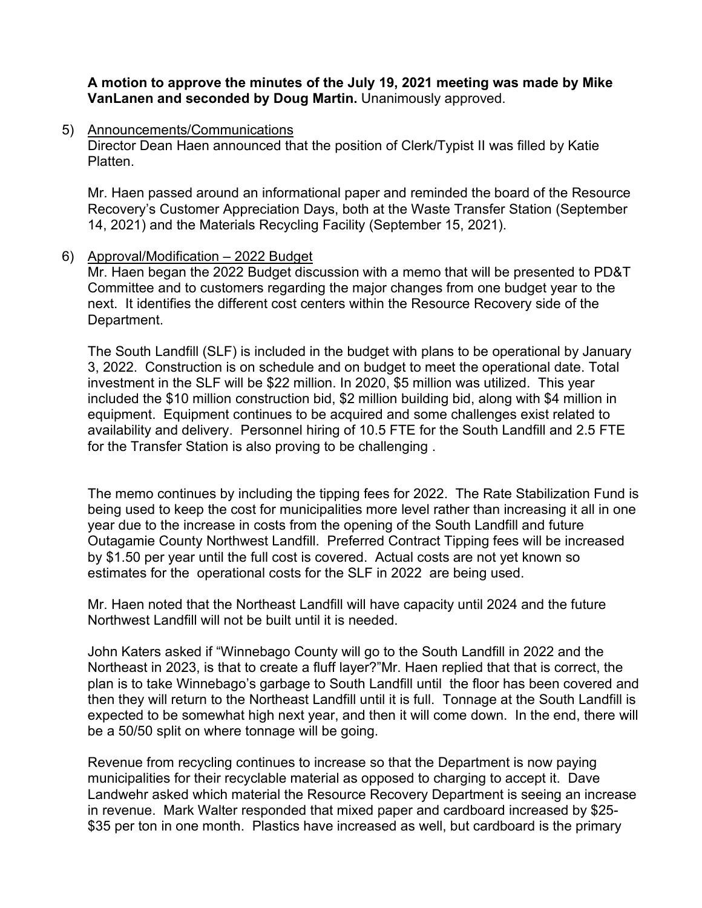## **A motion to approve the minutes of the July 19, 2021 meeting was made by Mike VanLanen and seconded by Doug Martin.** Unanimously approved.

5) Announcements/Communications

Director Dean Haen announced that the position of Clerk/Typist II was filled by Katie Platten.

Mr. Haen passed around an informational paper and reminded the board of the Resource Recovery's Customer Appreciation Days, both at the Waste Transfer Station (September 14, 2021) and the Materials Recycling Facility (September 15, 2021).

#### 6) Approval/Modification – 2022 Budget

Mr. Haen began the 2022 Budget discussion with a memo that will be presented to PD&T Committee and to customers regarding the major changes from one budget year to the next. It identifies the different cost centers within the Resource Recovery side of the Department.

The South Landfill (SLF) is included in the budget with plans to be operational by January 3, 2022. Construction is on schedule and on budget to meet the operational date. Total investment in the SLF will be \$22 million. In 2020, \$5 million was utilized. This year included the \$10 million construction bid, \$2 million building bid, along with \$4 million in equipment. Equipment continues to be acquired and some challenges exist related to availability and delivery. Personnel hiring of 10.5 FTE for the South Landfill and 2.5 FTE for the Transfer Station is also proving to be challenging .

The memo continues by including the tipping fees for 2022. The Rate Stabilization Fund is being used to keep the cost for municipalities more level rather than increasing it all in one year due to the increase in costs from the opening of the South Landfill and future Outagamie County Northwest Landfill. Preferred Contract Tipping fees will be increased by \$1.50 per year until the full cost is covered. Actual costs are not yet known so estimates for the operational costs for the SLF in 2022 are being used.

Mr. Haen noted that the Northeast Landfill will have capacity until 2024 and the future Northwest Landfill will not be built until it is needed.

John Katers asked if "Winnebago County will go to the South Landfill in 2022 and the Northeast in 2023, is that to create a fluff layer?"Mr. Haen replied that that is correct, the plan is to take Winnebago's garbage to South Landfill until the floor has been covered and then they will return to the Northeast Landfill until it is full. Tonnage at the South Landfill is expected to be somewhat high next year, and then it will come down. In the end, there will be a 50/50 split on where tonnage will be going.

Revenue from recycling continues to increase so that the Department is now paying municipalities for their recyclable material as opposed to charging to accept it. Dave Landwehr asked which material the Resource Recovery Department is seeing an increase in revenue. Mark Walter responded that mixed paper and cardboard increased by \$25- \$35 per ton in one month. Plastics have increased as well, but cardboard is the primary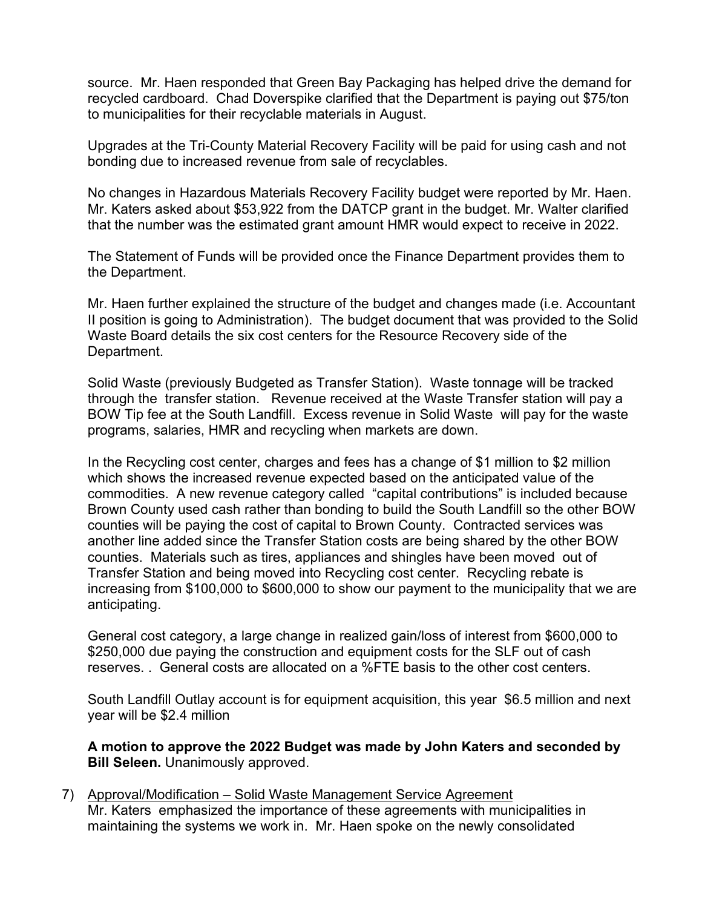source. Mr. Haen responded that Green Bay Packaging has helped drive the demand for recycled cardboard. Chad Doverspike clarified that the Department is paying out \$75/ton to municipalities for their recyclable materials in August.

Upgrades at the Tri-County Material Recovery Facility will be paid for using cash and not bonding due to increased revenue from sale of recyclables.

No changes in Hazardous Materials Recovery Facility budget were reported by Mr. Haen. Mr. Katers asked about \$53,922 from the DATCP grant in the budget. Mr. Walter clarified that the number was the estimated grant amount HMR would expect to receive in 2022.

The Statement of Funds will be provided once the Finance Department provides them to the Department.

Mr. Haen further explained the structure of the budget and changes made (i.e. Accountant II position is going to Administration). The budget document that was provided to the Solid Waste Board details the six cost centers for the Resource Recovery side of the Department.

Solid Waste (previously Budgeted as Transfer Station). Waste tonnage will be tracked through the transfer station. Revenue received at the Waste Transfer station will pay a BOW Tip fee at the South Landfill. Excess revenue in Solid Waste will pay for the waste programs, salaries, HMR and recycling when markets are down.

In the Recycling cost center, charges and fees has a change of \$1 million to \$2 million which shows the increased revenue expected based on the anticipated value of the commodities. A new revenue category called "capital contributions" is included because Brown County used cash rather than bonding to build the South Landfill so the other BOW counties will be paying the cost of capital to Brown County. Contracted services was another line added since the Transfer Station costs are being shared by the other BOW counties. Materials such as tires, appliances and shingles have been moved out of Transfer Station and being moved into Recycling cost center. Recycling rebate is increasing from \$100,000 to \$600,000 to show our payment to the municipality that we are anticipating.

General cost category, a large change in realized gain/loss of interest from \$600,000 to \$250,000 due paying the construction and equipment costs for the SLF out of cash reserves. . General costs are allocated on a %FTE basis to the other cost centers.

South Landfill Outlay account is for equipment acquisition, this year \$6.5 million and next year will be \$2.4 million

**A motion to approve the 2022 Budget was made by John Katers and seconded by Bill Seleen.** Unanimously approved.

7) Approval/Modification – Solid Waste Management Service Agreement Mr. Katers emphasized the importance of these agreements with municipalities in maintaining the systems we work in. Mr. Haen spoke on the newly consolidated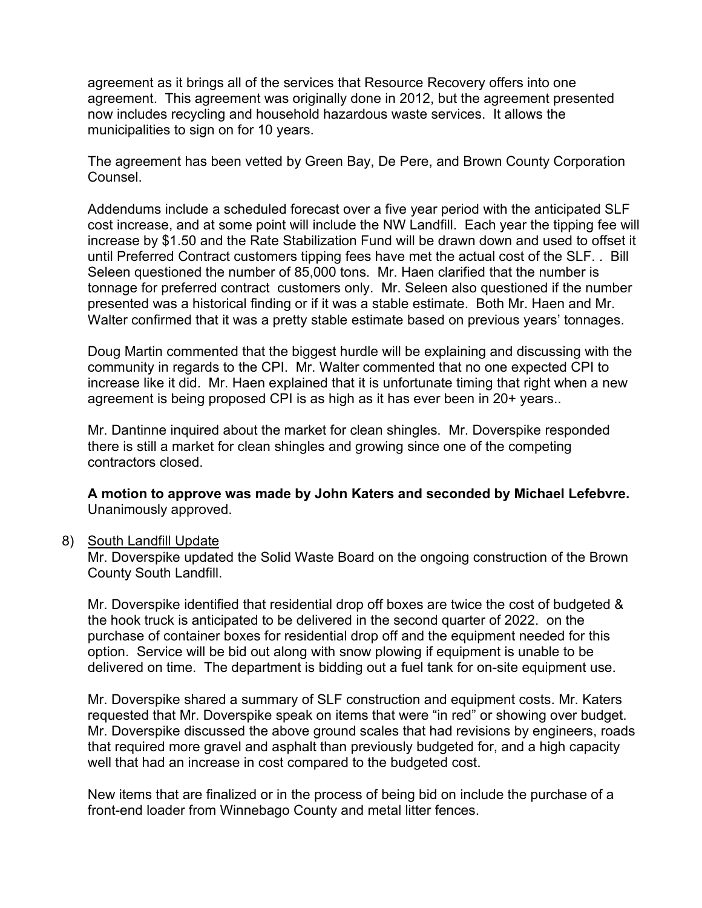agreement as it brings all of the services that Resource Recovery offers into one agreement. This agreement was originally done in 2012, but the agreement presented now includes recycling and household hazardous waste services. It allows the municipalities to sign on for 10 years.

The agreement has been vetted by Green Bay, De Pere, and Brown County Corporation Counsel.

Addendums include a scheduled forecast over a five year period with the anticipated SLF cost increase, and at some point will include the NW Landfill. Each year the tipping fee will increase by \$1.50 and the Rate Stabilization Fund will be drawn down and used to offset it until Preferred Contract customers tipping fees have met the actual cost of the SLF. . Bill Seleen questioned the number of 85,000 tons. Mr. Haen clarified that the number is tonnage for preferred contract customers only. Mr. Seleen also questioned if the number presented was a historical finding or if it was a stable estimate. Both Mr. Haen and Mr. Walter confirmed that it was a pretty stable estimate based on previous years' tonnages.

Doug Martin commented that the biggest hurdle will be explaining and discussing with the community in regards to the CPI. Mr. Walter commented that no one expected CPI to increase like it did. Mr. Haen explained that it is unfortunate timing that right when a new agreement is being proposed CPI is as high as it has ever been in 20+ years..

Mr. Dantinne inquired about the market for clean shingles. Mr. Doverspike responded there is still a market for clean shingles and growing since one of the competing contractors closed.

**A motion to approve was made by John Katers and seconded by Michael Lefebvre.**  Unanimously approved.

#### 8) South Landfill Update

Mr. Doverspike updated the Solid Waste Board on the ongoing construction of the Brown County South Landfill.

Mr. Doverspike identified that residential drop off boxes are twice the cost of budgeted & the hook truck is anticipated to be delivered in the second quarter of 2022. on the purchase of container boxes for residential drop off and the equipment needed for this option. Service will be bid out along with snow plowing if equipment is unable to be delivered on time. The department is bidding out a fuel tank for on-site equipment use.

Mr. Doverspike shared a summary of SLF construction and equipment costs. Mr. Katers requested that Mr. Doverspike speak on items that were "in red" or showing over budget. Mr. Doverspike discussed the above ground scales that had revisions by engineers, roads that required more gravel and asphalt than previously budgeted for, and a high capacity well that had an increase in cost compared to the budgeted cost.

New items that are finalized or in the process of being bid on include the purchase of a front-end loader from Winnebago County and metal litter fences.